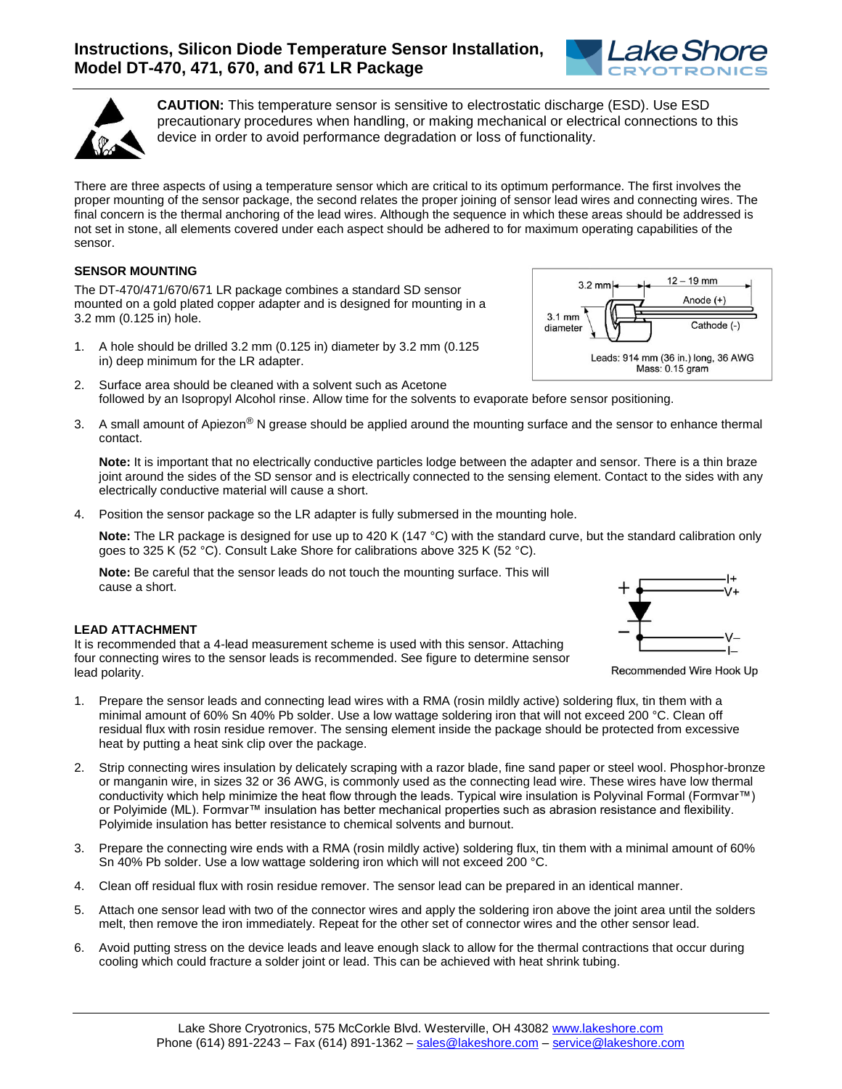



**CAUTION:** This temperature sensor is sensitive to electrostatic discharge (ESD). Use ESD precautionary procedures when handling, or making mechanical or electrical connections to this device in order to avoid performance degradation or loss of functionality.

There are three aspects of using a temperature sensor which are critical to its optimum performance. The first involves the proper mounting of the sensor package, the second relates the proper joining of sensor lead wires and connecting wires. The final concern is the thermal anchoring of the lead wires. Although the sequence in which these areas should be addressed is not set in stone, all elements covered under each aspect should be adhered to for maximum operating capabilities of the sensor.

## **SENSOR MOUNTING**

The DT-470/471/670/671 LR package combines a standard SD sensor mounted on a gold plated copper adapter and is designed for mounting in a 3.2 mm (0.125 in) hole.

- 1. A hole should be drilled 3.2 mm (0.125 in) diameter by 3.2 mm (0.125 in) deep minimum for the LR adapter.
- 2. Surface area should be cleaned with a solvent such as Acetone followed by an Isopropyl Alcohol rinse. Allow time for the solvents to evaporate before sensor positioning.
- 3. A small amount of Apiezon® N grease should be applied around the mounting surface and the sensor to enhance thermal contact.

**Note:** It is important that no electrically conductive particles lodge between the adapter and sensor. There is a thin braze joint around the sides of the SD sensor and is electrically connected to the sensing element. Contact to the sides with any electrically conductive material will cause a short.

4. Position the sensor package so the LR adapter is fully submersed in the mounting hole.

**Note:** The LR package is designed for use up to 420 K (147 °C) with the standard curve, but the standard calibration only goes to 325 K (52 °C). Consult Lake Shore for calibrations above 325 K (52 °C).

**Note:** Be careful that the sensor leads do not touch the mounting surface. This will cause a short.

## **LEAD ATTACHMENT**

It is recommended that a 4-lead measurement scheme is used with this sensor. Attaching four connecting wires to the sensor leads is recommended. See figure to determine sensor lead polarity.

- 1. Prepare the sensor leads and connecting lead wires with a RMA (rosin mildly active) soldering flux, tin them with a minimal amount of 60% Sn 40% Pb solder. Use a low wattage soldering iron that will not exceed 200 °C. Clean off residual flux with rosin residue remover. The sensing element inside the package should be protected from excessive heat by putting a heat sink clip over the package.
- 2. Strip connecting wires insulation by delicately scraping with a razor blade, fine sand paper or steel wool. Phosphor-bronze or manganin wire, in sizes 32 or 36 AWG, is commonly used as the connecting lead wire. These wires have low thermal conductivity which help minimize the heat flow through the leads. Typical wire insulation is Polyvinal Formal (Formvar™) or Polyimide (ML). Formvar™ insulation has better mechanical properties such as abrasion resistance and flexibility. Polyimide insulation has better resistance to chemical solvents and burnout.
- 3. Prepare the connecting wire ends with a RMA (rosin mildly active) soldering flux, tin them with a minimal amount of 60% Sn 40% Pb solder. Use a low wattage soldering iron which will not exceed 200 °C.
- 4. Clean off residual flux with rosin residue remover. The sensor lead can be prepared in an identical manner.
- 5. Attach one sensor lead with two of the connector wires and apply the soldering iron above the joint area until the solders melt, then remove the iron immediately. Repeat for the other set of connector wires and the other sensor lead.
- 6. Avoid putting stress on the device leads and leave enough slack to allow for the thermal contractions that occur during cooling which could fracture a solder joint or lead. This can be achieved with heat shrink tubing.





Recommended Wire Hook Up